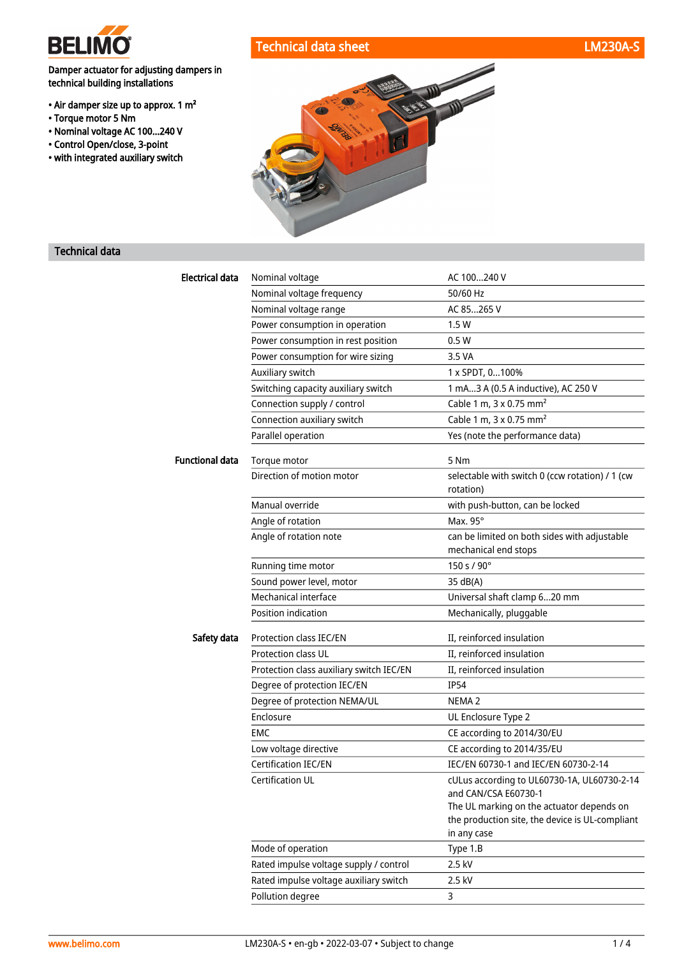

• Torque motor 5 Nm

Damper actuator for adjusting dampers in

technical building installations

• Air damper size up to approx. 1 m²

• Nominal voltage AC 100...240 V • Control Open/close, 3-point • with integrated auxiliary switch



### Technical data

| <b>Electrical data</b> | Nominal voltage                          | AC 100240 V                                                          |
|------------------------|------------------------------------------|----------------------------------------------------------------------|
|                        | Nominal voltage frequency                | 50/60 Hz                                                             |
|                        | Nominal voltage range                    | AC 85265 V                                                           |
|                        | Power consumption in operation           | 1.5W                                                                 |
|                        | Power consumption in rest position       | 0.5W                                                                 |
|                        | Power consumption for wire sizing        | 3.5 VA                                                               |
|                        | Auxiliary switch                         | 1 x SPDT, 0100%                                                      |
|                        | Switching capacity auxiliary switch      | 1 mA3 A (0.5 A inductive), AC 250 V                                  |
|                        | Connection supply / control              | Cable 1 m, 3 x 0.75 mm <sup>2</sup>                                  |
|                        | Connection auxiliary switch              | Cable 1 m, 3 x 0.75 mm <sup>2</sup>                                  |
|                        | Parallel operation                       | Yes (note the performance data)                                      |
| <b>Functional data</b> | Torque motor                             | 5 Nm                                                                 |
|                        | Direction of motion motor                | selectable with switch 0 (ccw rotation) / 1 (cw<br>rotation)         |
|                        | Manual override                          | with push-button, can be locked                                      |
|                        | Angle of rotation                        | Max. 95°                                                             |
|                        | Angle of rotation note                   | can be limited on both sides with adjustable<br>mechanical end stops |
|                        | Running time motor                       | 150 s / 90°                                                          |
|                        | Sound power level, motor                 | 35 dB(A)                                                             |
|                        | Mechanical interface                     | Universal shaft clamp 620 mm                                         |
|                        | Position indication                      | Mechanically, pluggable                                              |
| Safety data            | Protection class IEC/EN                  | II, reinforced insulation                                            |
|                        | <b>Protection class UL</b>               | II, reinforced insulation                                            |
|                        | Protection class auxiliary switch IEC/EN | II, reinforced insulation                                            |
|                        | Degree of protection IEC/EN              | <b>IP54</b>                                                          |
|                        | Degree of protection NEMA/UL             | NEMA <sub>2</sub>                                                    |
|                        | Enclosure                                | UL Enclosure Type 2                                                  |
|                        | EMC                                      | CE according to 2014/30/EU                                           |
|                        | Low voltage directive                    | CE according to 2014/35/EU                                           |
|                        | <b>Certification IEC/EN</b>              | IEC/EN 60730-1 and IEC/EN 60730-2-14                                 |
|                        | Certification UL                         | cULus according to UL60730-1A, UL60730-2-14                          |
|                        |                                          | and CAN/CSA E60730-1                                                 |
|                        |                                          | The UL marking on the actuator depends on                            |
|                        |                                          | the production site, the device is UL-compliant                      |
|                        |                                          | in any case                                                          |
|                        | Mode of operation                        | Type 1.B                                                             |
|                        | Rated impulse voltage supply / control   | 2.5 kV                                                               |
|                        | Rated impulse voltage auxiliary switch   | 2.5 kV                                                               |
|                        | Pollution degree                         | 3                                                                    |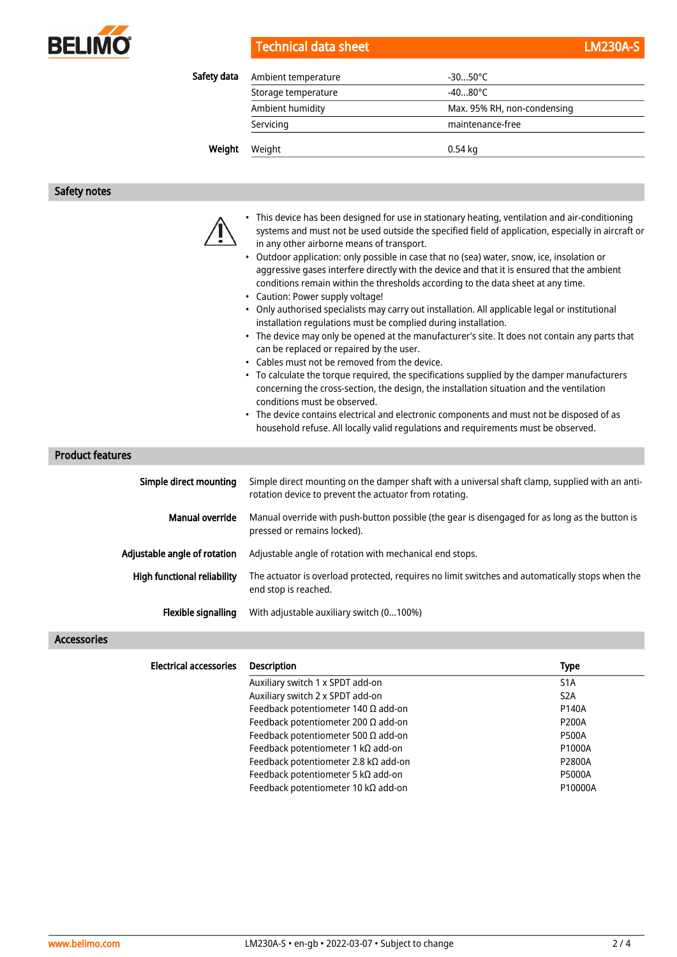

| Technical data sheet | <b>LM230A-S</b> |
|----------------------|-----------------|
|----------------------|-----------------|

Safety data Ambient temperature **Ambient** temperature 430...50°C

| ty uata | Allibient temperature | -30…30 L                    |
|---------|-----------------------|-----------------------------|
|         | Storage temperature   | -4080°C                     |
|         | Ambient humidity      | Max. 95% RH, non-condensing |
|         | Servicing             | maintenance-free            |
| Weight  | Weight                | 0.54 kg                     |
|         |                       |                             |

#### Safety notes

| • This device has been designed for use in stationary heating, ventilation and air-conditioning    |
|----------------------------------------------------------------------------------------------------|
| systems and must not be used outside the specified field of application, especially in aircraft or |
| in any other airborne means of transport.                                                          |

- Outdoor application: only possible in case that no (sea) water, snow, ice, insolation or aggressive gases interfere directly with the device and that it is ensured that the ambient conditions remain within the thresholds according to the data sheet at any time.
- Caution: Power supply voltage!
- Only authorised specialists may carry out installation. All applicable legal or institutional installation regulations must be complied during installation.
- The device may only be opened at the manufacturer's site. It does not contain any parts that can be replaced or repaired by the user.
- Cables must not be removed from the device.
- To calculate the torque required, the specifications supplied by the damper manufacturers concerning the cross-section, the design, the installation situation and the ventilation conditions must be observed.
- The device contains electrical and electronic components and must not be disposed of as household refuse. All locally valid regulations and requirements must be observed.

### Product features

| Simple direct mounting       | Simple direct mounting on the damper shaft with a universal shaft clamp, supplied with an anti-<br>rotation device to prevent the actuator from rotating. |
|------------------------------|-----------------------------------------------------------------------------------------------------------------------------------------------------------|
| Manual override              | Manual override with push-button possible (the gear is disengaged for as long as the button is<br>pressed or remains locked).                             |
| Adjustable angle of rotation | Adjustable angle of rotation with mechanical end stops.                                                                                                   |
| High functional reliability  | The actuator is overload protected, requires no limit switches and automatically stops when the<br>end stop is reached.                                   |
| Flexible signalling          | With adjustable auxiliary switch (0100%)                                                                                                                  |

#### Accessories

| <b>Electrical accessories</b> | <b>Description</b>                         | <b>Type</b>      |
|-------------------------------|--------------------------------------------|------------------|
|                               | Auxiliary switch 1 x SPDT add-on           | S <sub>1</sub> A |
|                               | Auxiliary switch 2 x SPDT add-on           | S <sub>2</sub> A |
|                               | Feedback potentiometer 140 $\Omega$ add-on | P140A            |
|                               | Feedback potentiometer 200 $\Omega$ add-on | <b>P200A</b>     |
|                               | Feedback potentiometer 500 $\Omega$ add-on | <b>P500A</b>     |
|                               | Feedback potentiometer 1 k $\Omega$ add-on | P1000A           |
|                               | Feedback potentiometer 2.8 kΩ add-on       | P2800A           |
|                               | Feedback potentiometer 5 k $\Omega$ add-on | <b>P5000A</b>    |
|                               | Feedback potentiometer 10 kΩ add-on        | P10000A          |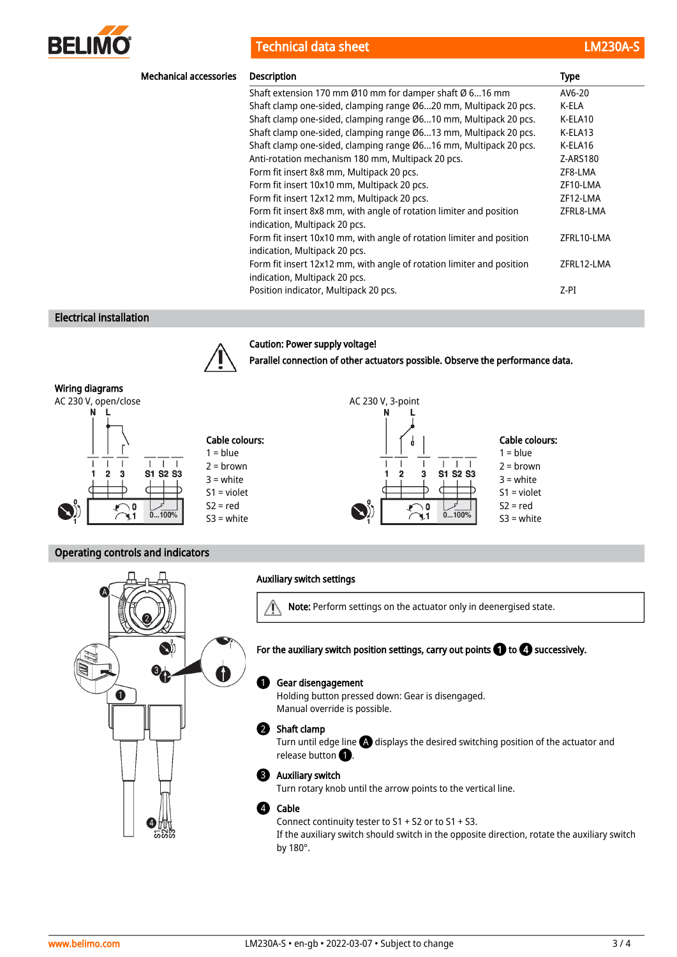

Technical data sheet LM230A-Sheet LM230A-Sheet LM230A-Sheet LM230A-Sheet LM230A-Sheet LM230A-Sheet LM230A-Sheet

| <b>Mechanical accessories</b> | <b>Description</b>                                                                                     | <b>Type</b> |
|-------------------------------|--------------------------------------------------------------------------------------------------------|-------------|
|                               | Shaft extension 170 mm Ø10 mm for damper shaft Ø 616 mm                                                | AV6-20      |
|                               | Shaft clamp one-sided, clamping range Ø620 mm, Multipack 20 pcs.                                       | K-ELA       |
|                               | Shaft clamp one-sided, clamping range Ø610 mm, Multipack 20 pcs.                                       | K-ELA10     |
|                               | Shaft clamp one-sided, clamping range Ø613 mm, Multipack 20 pcs.                                       | K-ELA13     |
|                               | Shaft clamp one-sided, clamping range Ø616 mm, Multipack 20 pcs.                                       | K-ELA16     |
|                               | Anti-rotation mechanism 180 mm, Multipack 20 pcs.                                                      | Z-ARS180    |
|                               | Form fit insert 8x8 mm, Multipack 20 pcs.                                                              | ZF8-LMA     |
|                               | Form fit insert 10x10 mm, Multipack 20 pcs.                                                            | ZF10-LMA    |
|                               | Form fit insert 12x12 mm, Multipack 20 pcs.                                                            | ZF12-LMA    |
|                               | Form fit insert 8x8 mm, with angle of rotation limiter and position<br>indication, Multipack 20 pcs.   | ZFRL8-LMA   |
|                               | Form fit insert 10x10 mm, with angle of rotation limiter and position<br>indication, Multipack 20 pcs. | ZFRL10-LMA  |
|                               | Form fit insert 12x12 mm, with angle of rotation limiter and position<br>indication, Multipack 20 pcs. | ZFRL12-LMA  |
|                               | Position indicator, Multipack 20 pcs.                                                                  | Z-PI        |

Parallel connection of other actuators possible. Observe the performance data.

ά

 $\mathbf{I}$ 

з

O

 $\mathbf{L}$  $\top$  $\overline{\phantom{a}}$ 

S1 S2 S3

 $0...100%$ 

N

Cable colours:  $1 = blue$  $2 =$ brown 3 = white S1 = violet  $S2 = red$ S3 = white

#### Electrical installation



#### Caution: Power supply voltage!





### Operating controls and indicators



### Auxiliary switch settings

 $\wedge$ Note: Perform settings on the actuator only in deenergised state.

## For the auxiliary switch position settings, carry out points  $\bigcirc$  to  $\Phi$  successively.

#### Gear disengagement  $\mathbf 0$

Holding button pressed down: Gear is disengaged. Manual override is possible.

#### 2 Shaft clamp

Turn until edge line  $\bigtriangleup$  displays the desired switching position of the actuator and release button  $\bullet$ .

#### Auxiliary switch 3

Turn rotary knob until the arrow points to the vertical line.

#### Cable 4

Connect continuity tester to S1 + S2 or to S1 + S3. If the auxiliary switch should switch in the opposite direction, rotate the auxiliary switch by 180°.